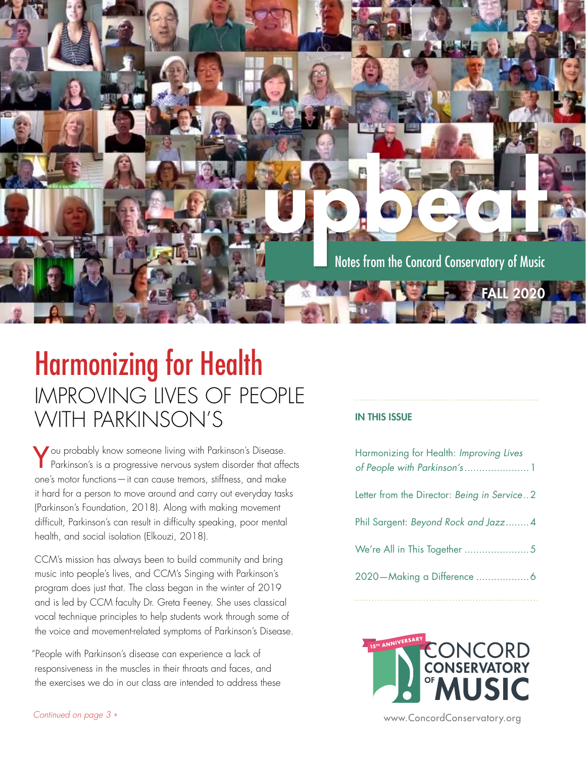

### Harmonizing for Health IMPROVING LIVES OF PEOPLE WITH PARKINSON'S IN THIS ISSUE

You probably know someone living with Parkinson's Disease. Parkinson's is a progressive nervous system disorder that affects one's motor functions—it can cause tremors, stiffness, and make it hard for a person to move around and carry out everyday tasks (Parkinson's Foundation, 2018). Along with making movement difficult, Parkinson's can result in difficulty speaking, poor mental health, and social isolation (Elkouzi, 2018).

CCM's mission has always been to build community and bring music into people's lives, and CCM's Singing with Parkinson's program does just that. The class began in the winter of 2019 and is led by CCM faculty Dr. Greta Feeney. She uses classical vocal technique principles to help students work through some of the voice and movement-related symptoms of Parkinson's Disease.

"People with Parkinson's disease can experience a lack of responsiveness in the muscles in their throats and faces, and the exercises we do in our class are intended to address these

| Harmonizing for Health: Improving Lives<br>of People with Parkinson's  1 |
|--------------------------------------------------------------------------|
| Letter from the Director: Being in Service2                              |
| Phil Sargent: Beyond Rock and Jazz4                                      |
| We're All in This Together 5                                             |
|                                                                          |



[www.ConcordConservatory.org](https://concordconservatory.org/)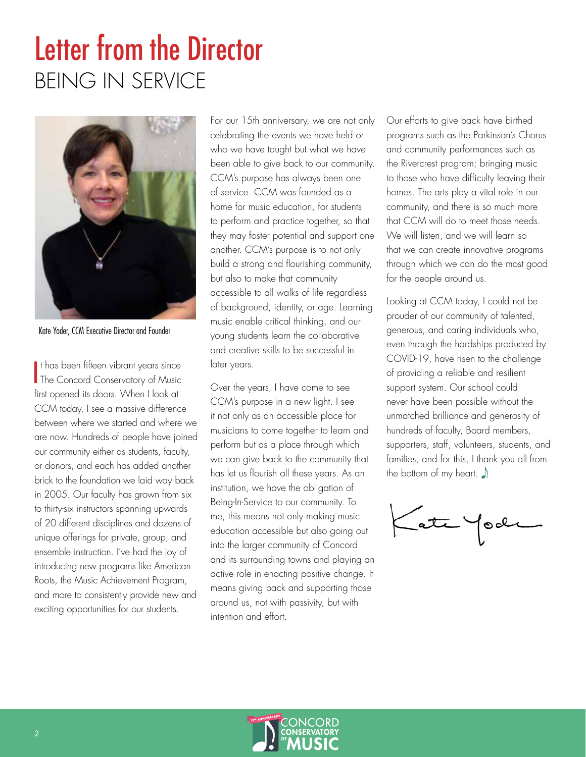# <span id="page-1-0"></span>Letter from the Director BEING IN SERVICE



Kate Yoder, CCM Executive Director and Founder

I The Concord Conservatory of Music It has been fifteen vibrant years since first opened its doors. When I look at CCM today, I see a massive difference between where we started and where we are now. Hundreds of people have joined our community either as students, faculty, or donors, and each has added another brick to the foundation we laid way back in 2005. Our faculty has grown from six to thirty-six instructors spanning upwards of 20 different disciplines and dozens of unique offerings for private, group, and ensemble instruction. I've had the joy of introducing new programs like American Roots, the Music Achievement Program, and more to consistently provide new and exciting opportunities for our students.

For our 15th anniversary, we are not only celebrating the events we have held or who we have taught but what we have been able to give back to our community. CCM's purpose has always been one of service. CCM was founded as a home for music education, for students to perform and practice together, so that they may foster potential and support one another. CCM's purpose is to not only build a strong and flourishing community, but also to make that community accessible to all walks of life regardless of background, identity, or age. Learning music enable critical thinking, and our young students learn the collaborative and creative skills to be successful in later years.

Over the years, I have come to see CCM's purpose in a new light. I see it not only as an accessible place for musicians to come together to learn and perform but as a place through which we can give back to the community that has let us flourish all these years. As an institution, we have the obligation of Being-In-Service to our community. To me, this means not only making music education accessible but also going out into the larger community of Concord and its surrounding towns and playing an active role in enacting positive change. It means giving back and supporting those around us, not with passivity, but with intention and effort.

Our efforts to give back have birthed programs such as the Parkinson's Chorus and community performances such as the Rivercrest program; bringing music to those who have difficulty leaving their homes. The arts play a vital role in our community, and there is so much more that CCM will do to meet those needs. We will listen, and we will learn so that we can create innovative programs through which we can do the most good for the people around us.

Looking at CCM today, I could not be prouder of our community of talented, generous, and caring individuals who, even through the hardships produced by COVID-19, have risen to the challenge of providing a reliable and resilient support system. Our school could never have been possible without the unmatched brilliance and generosity of hundreds of faculty, Board members, supporters, staff, volunteers, students, and families, and for this, I thank you all from the bottom of my heart.  $\Box$ 

Late Yoo

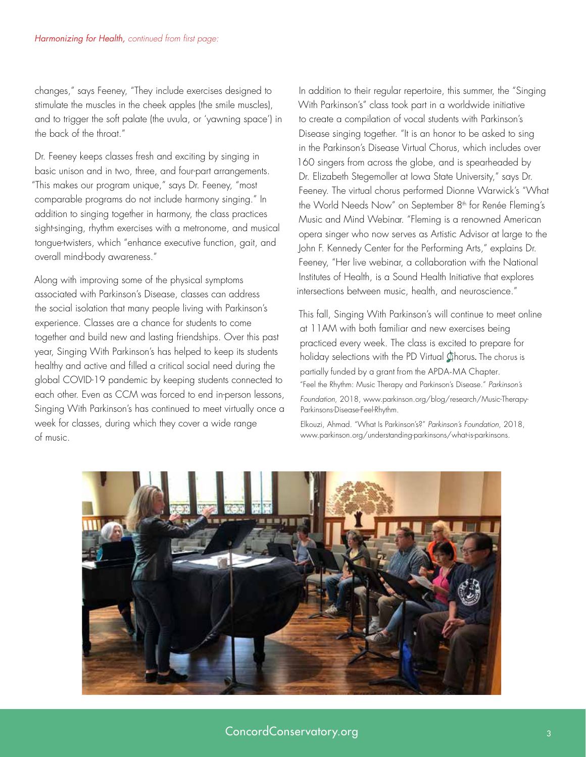<span id="page-2-0"></span>changes," says Feeney, "They include exercises designed to stimulate the muscles in the cheek apples (the smile muscles), and to trigger the soft palate (the uvula, or 'yawning space') in the back of the throat."

Dr. Feeney keeps classes fresh and exciting by singing in basic unison and in two, three, and four-part arrangements. "This makes our program unique," says Dr. Feeney, "most comparable programs do not include harmony singing." In addition to singing together in harmony, the class practices sight-singing, rhythm exercises with a metronome, and musical tongue-twisters, which "enhance executive function, gait, and overall mind-body awareness."

Along with improving some of the physical symptoms associated with Parkinson's Disease, classes can address the social isolation that many people living with Parkinson's experience. Classes are a chance for students to come together and build new and lasting friendships. Over this past year, Singing With Parkinson's has helped to keep its students healthy and active and filled a critical social need during the global COVID-19 pandemic by keeping students connected to each other. Even as CCM was forced to end in-person lessons, Singing With Parkinson's has continued to meet virtually once a week for classes, during which they cover a wide range of music.

In addition to their regular repertoire, this summer, the "Singing With Parkinson's" class took part in a worldwide initiative to create a compilation of vocal students with Parkinson's Disease singing together. "It is an honor to be asked to sing in the Parkinson's Disease Virtual Chorus, which includes over 160 singers from across the globe, and is spearheaded by Dr. Elizabeth Stegemoller at Iowa State University," says Dr. Feeney. The virtual chorus performed Dionne Warwick's "What the World Needs Now" on September 8<sup>th</sup> for Renée Fleming's Music and Mind Webinar. "Fleming is a renowned American opera singer who now serves as Artistic Advisor at large to the John F. Kennedy Center for the Performing Arts," explains Dr. Feeney, "Her live webinar, a collaboration with the National Institutes of Health, is a Sound Health Initiative that explores intersections between music, health, and neuroscience."

This fall, Singing With Parkinson's will continue to meet online at 11AM with both familiar and new exercises being practiced every week. The class is excited to prepare for holiday selections with the PD Virtual Chorus. The chorus is partially funded by a grant from the APDA-MA Chapter. "Feel the Rhythm: Music Therapy and Parkinson's Disease." *Parkinson's Foundation*, 2018, www.parkinson.org/blog/research/Music-Therapy-Parkinsons-Disease-Feel-Rhythm.

Elkouzi, Ahmad. "What Is Parkinson's?" *Parkinson's Foundation*, 2018, www.parkinson.org/understanding-parkinsons/what-is-parkinsons.

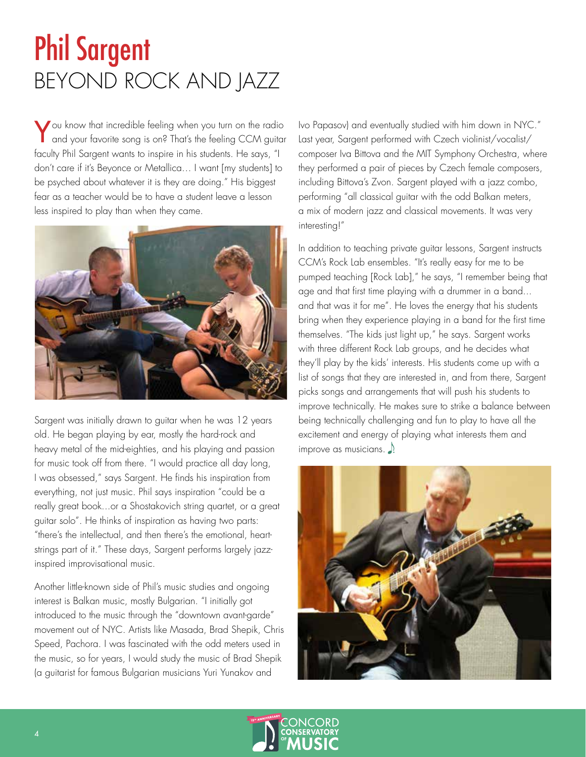## <span id="page-3-0"></span>Phil Sargent BEYOND ROCK AND JAZZ

You know that incredible feeling when you turn on the radio and your favorite song is on? That's the feeling CCM guitar faculty Phil Sargent wants to inspire in his students. He says, "I don't care if it's Beyonce or Metallica… I want [my students] to be psyched about whatever it is they are doing." His biggest fear as a teacher would be to have a student leave a lesson less inspired to play than when they came.



Sargent was initially drawn to guitar when he was 12 years old. He began playing by ear, mostly the hard-rock and heavy metal of the mid-eighties, and his playing and passion for music took off from there. "I would practice all day long, I was obsessed," says Sargent. He finds his inspiration from everything, not just music. Phil says inspiration "could be a really great book...or a Shostakovich string quartet, or a great guitar solo". He thinks of inspiration as having two parts: "there's the intellectual, and then there's the emotional, heartstrings part of it." These days, Sargent performs largely jazzinspired improvisational music.

Another little-known side of Phil's music studies and ongoing interest is Balkan music, mostly Bulgarian. "I initially got introduced to the music through the "downtown avant-garde" movement out of NYC. Artists like Masada, Brad Shepik, Chris Speed, Pachora. I was fascinated with the odd meters used in the music, so for years, I would study the music of Brad Shepik (a guitarist for famous Bulgarian musicians Yuri Yunakov and

Ivo Papasov) and eventually studied with him down in NYC." Last year, Sargent performed with Czech violinist/vocalist/ composer Iva Bittova and the MIT Symphony Orchestra, where they performed a pair of pieces by Czech female composers, including Bittova's Zvon. Sargent played with a jazz combo, performing "all classical guitar with the odd Balkan meters, a mix of modern jazz and classical movements. It was very interesting!"

In addition to teaching private guitar lessons, Sargent instructs CCM's Rock Lab ensembles. "It's really easy for me to be pumped teaching [Rock Lab]," he says, "I remember being that age and that first time playing with a drummer in a band... and that was it for me". He loves the energy that his students bring when they experience playing in a band for the first time themselves. "The kids just light up," he says. Sargent works with three different Rock Lab groups, and he decides what they'll play by the kids' interests. His students come up with a list of songs that they are interested in, and from there, Sargent picks songs and arrangements that will push his students to improve technically. He makes sure to strike a balance between being technically challenging and fun to play to have all the excitement and energy of playing what interests them and improve as musicians.  $\Lambda$ 



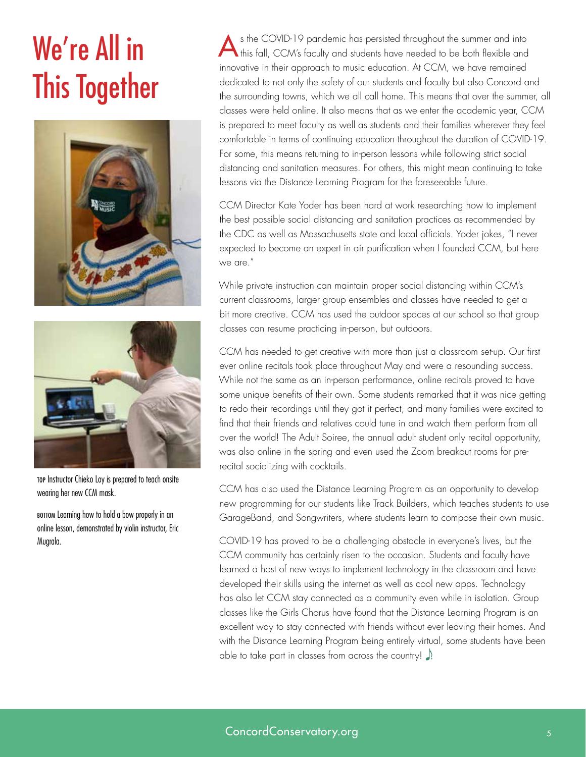# <span id="page-4-0"></span>We're All in This Together





TOP Instructor Chieko Loy is prepared to teach onsite wearing her new CCM mask.

BOTTOM Learning how to hold a bow properly in an online lesson, demonstrated by violin instructor, Eric Mugrala.

s the COVID-19 pandemic has persisted throughout the summer and into this fall, CCM's faculty and students have needed to be both flexible and innovative in their approach to music education. At CCM, we have remained dedicated to not only the safety of our students and faculty but also Concord and the surrounding towns, which we all call home. This means that over the summer, all classes were held online. It also means that as we enter the academic year, CCM is prepared to meet faculty as well as students and their families wherever they feel comfortable in terms of continuing education throughout the duration of COVID-19. For some, this means returning to in-person lessons while following strict social distancing and sanitation measures. For others, this might mean continuing to take lessons via the Distance Learning Program for the foreseeable future.

CCM Director Kate Yoder has been hard at work researching how to implement the best possible social distancing and sanitation practices as recommended by the CDC as well as Massachusetts state and local officials. Yoder jokes, "I never expected to become an expert in air purification when I founded CCM, but here we are."

While private instruction can maintain proper social distancing within CCM's current classrooms, larger group ensembles and classes have needed to get a bit more creative. CCM has used the outdoor spaces at our school so that group classes can resume practicing in-person, but outdoors.

CCM has needed to get creative with more than just a classroom set-up. Our first ever online recitals took place throughout May and were a resounding success. While not the same as an in-person performance, online recitals proved to have some unique benefits of their own. Some students remarked that it was nice getting to redo their recordings until they got it perfect, and many families were excited to find that their friends and relatives could tune in and watch them perform from all over the world! The Adult Soiree, the annual adult student only recital opportunity, was also online in the spring and even used the Zoom breakout rooms for prerecital socializing with cocktails.

CCM has also used the Distance Learning Program as an opportunity to develop new programming for our students like Track Builders, which teaches students to use GarageBand, and Songwriters, where students learn to compose their own music.

COVID-19 has proved to be a challenging obstacle in everyone's lives, but the CCM community has certainly risen to the occasion. Students and faculty have learned a host of new ways to implement technology in the classroom and have developed their skills using the internet as well as cool new apps. Technology has also let CCM stay connected as a community even while in isolation. Group classes like the Girls Chorus have found that the Distance Learning Program is an excellent way to stay connected with friends without ever leaving their homes. And with the Distance Learning Program being entirely virtual, some students have been able to take part in classes from across the country!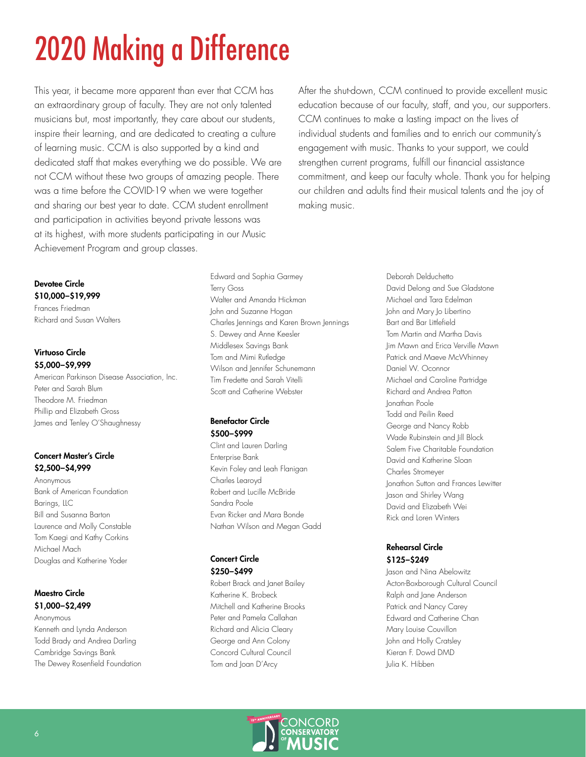# <span id="page-5-0"></span>2020 Making a Difference

This year, it became more apparent than ever that CCM has an extraordinary group of faculty. They are not only talented musicians but, most importantly, they care about our students, inspire their learning, and are dedicated to creating a culture of learning music. CCM is also supported by a kind and dedicated staff that makes everything we do possible. We are not CCM without these two groups of amazing people. There was a time before the COVID-19 when we were together and sharing our best year to date. CCM student enrollment and participation in activities beyond private lessons was at its highest, with more students participating in our Music Achievement Program and group classes.

After the shut-down, CCM continued to provide excellent music education because of our faculty, staff, and you, our supporters. CCM continues to make a lasting impact on the lives of individual students and families and to enrich our community's engagement with music. Thanks to your support, we could strengthen current programs, fulfill our financial assistance commitment, and keep our faculty whole. Thank you for helping our children and adults find their musical talents and the joy of making music.

Devotee Circle \$10,000–\$19,999 Frances Friedman

Richard and Susan Walters

#### Virtuoso Circle \$5,000–\$9,999

American Parkinson Disease Association, Inc. Peter and Sarah Blum Theodore M. Friedman Phillip and Elizabeth Gross James and Tenley O'Shaughnessy

#### Concert Master's Circle \$2,500–\$4,999

Anonymous Bank of American Foundation Barings, LLC Bill and Susanna Barton Laurence and Molly Constable Tom Kaegi and Kathy Corkins Michael Mach Douglas and Katherine Yoder

#### Maestro Circle \$1,000–\$2,499

Anonymous Kenneth and Lynda Anderson Todd Brady and Andrea Darling Cambridge Savings Bank The Dewey Rosenfield Foundation

Edward and Sophia Garmey Terry Goss Walter and Amanda Hickman John and Suzanne Hogan Charles Jennings and Karen Brown Jennings S. Dewey and Anne Keesler Middlesex Savings Bank Tom and Mimi Rutledge Wilson and Jennifer Schunemann Tim Fredette and Sarah Vitelli Scott and Catherine Webster

#### Benefactor Circle \$500–\$999

Clint and Lauren Darling Enterprise Bank Kevin Foley and Leah Flanigan Charles Learoyd Robert and Lucille McBride Sandra Poole Evan Ricker and Mara Bonde Nathan Wilson and Megan Gadd

#### Concert Circle \$250–\$499

Robert Brack and Janet Bailey Katherine K. Brobeck Mitchell and Katherine Brooks Peter and Pamela Callahan Richard and Alicia Cleary George and Ann Colony Concord Cultural Council Tom and Joan D'Arcy

Deborah Delduchetto David Delong and Sue Gladstone Michael and Tara Edelman John and Mary Jo Libertino Bart and Bar Littlefield Tom Martin and Martha Davis Jim Mawn and Erica Verville Mawn Patrick and Maeve McWhinney Daniel W. Oconnor Michael and Caroline Partridge Richard and Andrea Patton Jonathan Poole Todd and Peilin Reed George and Nancy Robb Wade Rubinstein and Jill Block Salem Five Charitable Foundation David and Katherine Sloan Charles Stromeyer Jonathon Sutton and Frances Lewitter Jason and Shirley Wang David and Elizabeth Wei Rick and Loren Winters

#### Rehearsal Circle \$125–\$249

Jason and Nina Abelowitz Acton-Boxborough Cultural Council Ralph and Jane Anderson Patrick and Nancy Carey Edward and Catherine Chan Mary Louise Couvillon John and Holly Cratsley Kieran F. Dowd DMD Julia K. Hibben

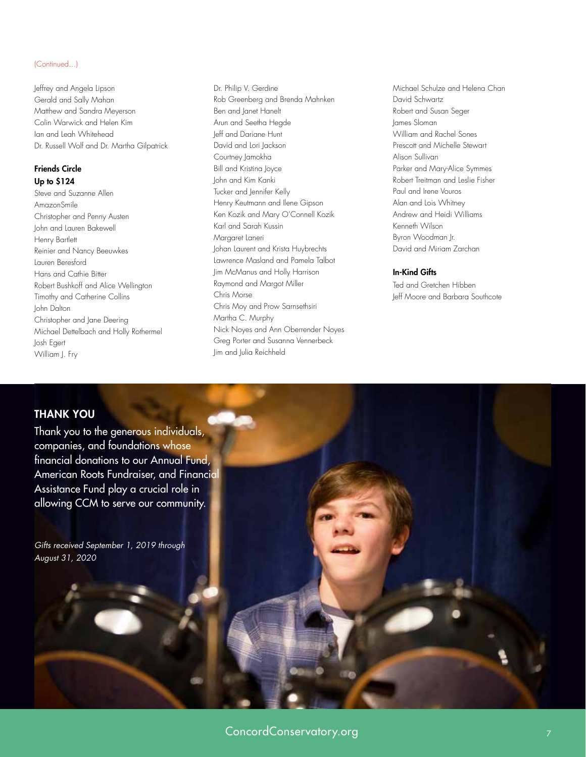#### (Continued...)

Jeffrey and Angela Lipson Gerald and Sally Mahan Matthew and Sandra Meyerson Colin Warwick and Helen Kim Ian and Leah Whitehead Dr. Russell Wolf and Dr. Martha Gilpatrick

#### Friends Circle Up to \$124

Steve and Suzanne Allen AmazonSmile Christopher and Penny Austen John and Lauren Bakewell Henry Bartlett Reinier and Nancy Beeuwkes Lauren Beresford Hans and Cathie Bitter Robert Bushkoff and Alice Wellington Timothy and Catherine Collins John Dalton Christopher and Jane Deering Michael Dettelbach and Holly Rothermel Josh Egert William J. Fry

Dr. Philip V. Gerdine Rob Greenberg and Brenda Mahnken Ben and Janet Hanelt Arun and Seetha Hegde Jeff and Dariane Hunt David and Lori Jackson Courtney Jamokha Bill and Kristina Joyce John and Kim Kanki Tucker and Jennifer Kelly Henry Keutmann and Ilene Gipson Ken Kozik and Mary O'Connell Kozik Karl and Sarah Kussin Margaret Laneri Johan Laurent and Krista Huybrechts Lawrence Masland and Pamela Talbot Jim McManus and Holly Harrison Raymond and Margot Miller Chris Morse Chris Moy and Prow Sarnsethsiri Martha C. Murphy Nick Noyes and Ann Oberrender Noyes Greg Porter and Susanna Vennerbeck Jim and Julia Reichheld

Michael Schulze and Helena Chan David Schwartz Robert and Susan Seger James Sloman William and Rachel Sones Prescott and Michelle Stewart Alison Sullivan Parker and Mary-Alice Symmes Robert Treitman and Leslie Fisher Paul and Irene Vouros Alan and Lois Whitney Andrew and Heidi Williams Kenneth Wilson Byron Woodman Jr. David and Miriam Zarchan

#### In-Kind Gifts

Ted and Gretchen Hibben Jeff Moore and Barbara Southcote

### THANK YOU

Thank you to the generous individuals, companies, and foundations whose financial donations to our Annual Fund, American Roots Fundraiser, and Financial Assistance Fund play a crucial role in allowing CCM to serve our community.

*Gifts received September 1, 2019 through August 31, 2020*